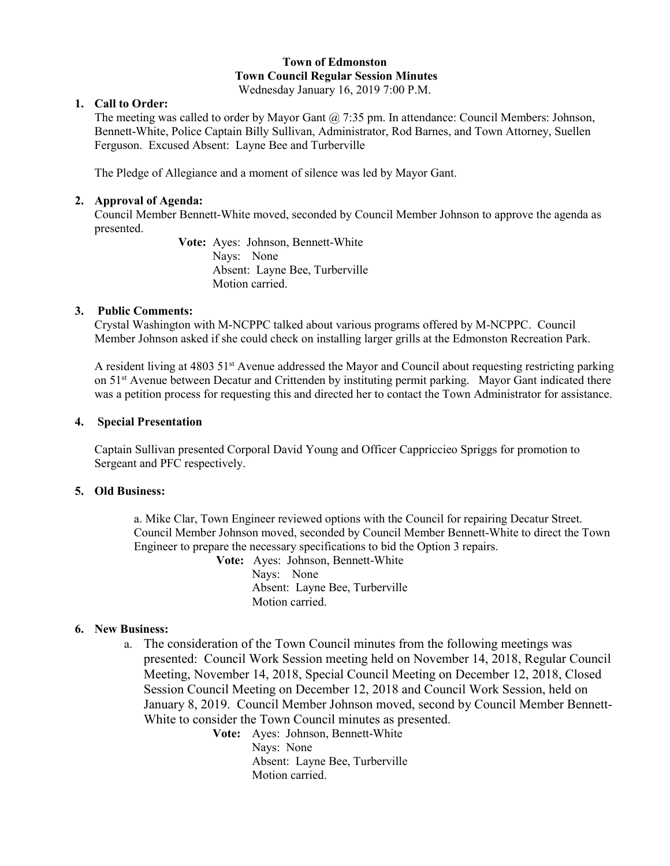# **Town of Edmonston Town Council Regular Session Minutes**

Wednesday January 16, 2019 7:00 P.M.

# **1. Call to Order:**

The meeting was called to order by Mayor Gant  $(2, 7:35 \text{ pm}$ . In attendance: Council Members: Johnson, Bennett-White, Police Captain Billy Sullivan, Administrator, Rod Barnes, and Town Attorney, Suellen Ferguson. Excused Absent: Layne Bee and Turberville

The Pledge of Allegiance and a moment of silence was led by Mayor Gant.

## **2. Approval of Agenda:**

Council Member Bennett-White moved, seconded by Council Member Johnson to approve the agenda as presented.

> **Vote:** Ayes: Johnson, Bennett-White Nays: None Absent: Layne Bee, Turberville Motion carried.

#### **3. Public Comments:**

Crystal Washington with M-NCPPC talked about various programs offered by M-NCPPC. Council Member Johnson asked if she could check on installing larger grills at the Edmonston Recreation Park.

A resident living at 4803 51<sup>st</sup> Avenue addressed the Mayor and Council about requesting restricting parking on 51st Avenue between Decatur and Crittenden by instituting permit parking. Mayor Gant indicated there was a petition process for requesting this and directed her to contact the Town Administrator for assistance.

#### **4. Special Presentation**

Captain Sullivan presented Corporal David Young and Officer Cappriccieo Spriggs for promotion to Sergeant and PFC respectively.

#### **5. Old Business:**

a. Mike Clar, Town Engineer reviewed options with the Council for repairing Decatur Street. Council Member Johnson moved, seconded by Council Member Bennett-White to direct the Town Engineer to prepare the necessary specifications to bid the Option 3 repairs.

 **Vote:** Ayes: Johnson, Bennett-White Nays: None Absent: Layne Bee, Turberville Motion carried.

#### **6. New Business:**

a. The consideration of the Town Council minutes from the following meetings was presented: Council Work Session meeting held on November 14, 2018, Regular Council Meeting, November 14, 2018, Special Council Meeting on December 12, 2018, Closed Session Council Meeting on December 12, 2018 and Council Work Session, held on January 8, 2019. Council Member Johnson moved, second by Council Member Bennett-White to consider the Town Council minutes as presented.

**Vote:** Ayes: Johnson, Bennett-White

Nays: None Absent: Layne Bee, Turberville Motion carried.